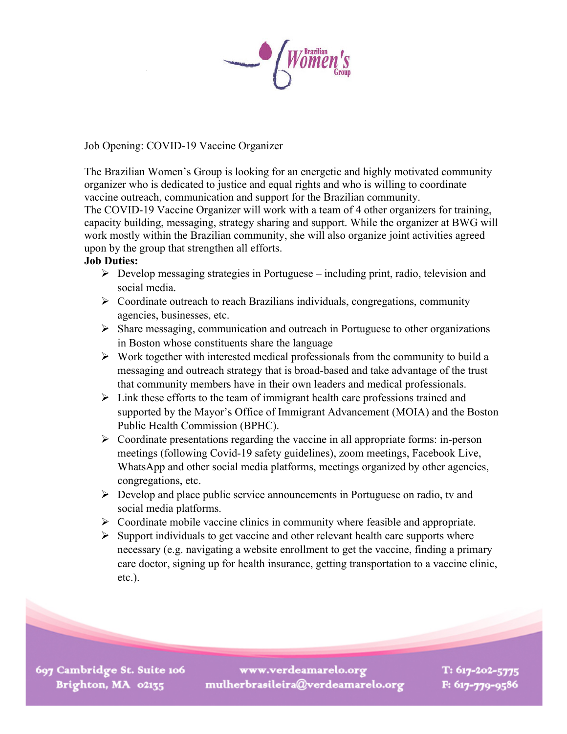Job Opening: COVID-19 Vaccine Organizer

The Brazilian Women's Group is looking for an energetic and highly motivated community organizer who is dedicated to justice and equal rights and who is willing to coordinate vaccine outreach, communication and support for the Brazilian community.

The COVID-19 Vaccine Organizer will work with a team of 4 other organizers for training, capacity building, messaging, strategy sharing and support. While the organizer at BWG will work mostly within the Brazilian community, she will also organize joint activities agreed upon by the group that strengthen all efforts.

## **Job Duties:**

- $\triangleright$  Develop messaging strategies in Portuguese including print, radio, television and social media.
- $\triangleright$  Coordinate outreach to reach Brazilians individuals, congregations, community agencies, businesses, etc.
- $\triangleright$  Share messaging, communication and outreach in Portuguese to other organizations in Boston whose constituents share the language
- $\triangleright$  Work together with interested medical professionals from the community to build a messaging and outreach strategy that is broad-based and take advantage of the trust that community members have in their own leaders and medical professionals.
- $\triangleright$  Link these efforts to the team of immigrant health care professions trained and supported by the Mayor's Office of Immigrant Advancement (MOIA) and the Boston Public Health Commission (BPHC).
- $\triangleright$  Coordinate presentations regarding the vaccine in all appropriate forms: in-person meetings (following Covid-19 safety guidelines), zoom meetings, Facebook Live, WhatsApp and other social media platforms, meetings organized by other agencies, congregations, etc.
- $\triangleright$  Develop and place public service announcements in Portuguese on radio, tv and social media platforms.
- $\triangleright$  Coordinate mobile vaccine clinics in community where feasible and appropriate.
- $\triangleright$  Support individuals to get vaccine and other relevant health care supports where necessary (e.g. navigating a website enrollment to get the vaccine, finding a primary care doctor, signing up for health insurance, getting transportation to a vaccine clinic, etc.).

697 Cambridge St. Suite 106 Brighton, MA 02135

www.verdeamarelo.org mulherbrasileira@verdeamarelo.org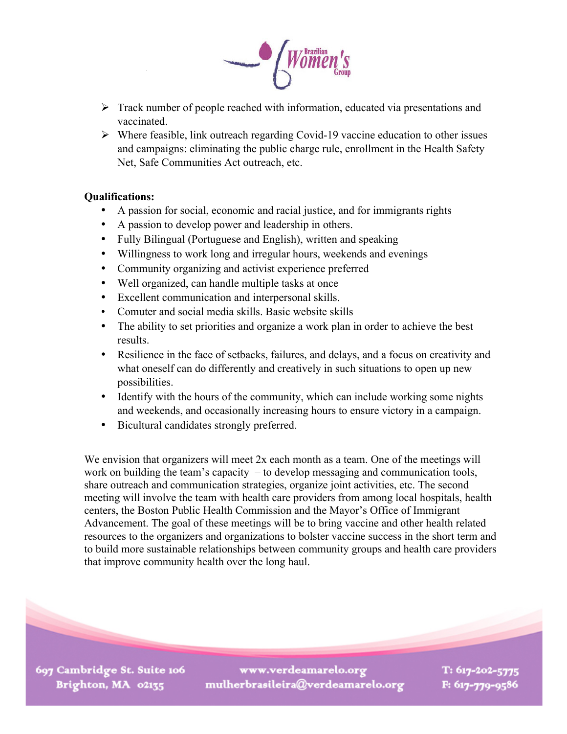

- $\triangleright$  Track number of people reached with information, educated via presentations and vaccinated.
- $\triangleright$  Where feasible, link outreach regarding Covid-19 vaccine education to other issues and campaigns: eliminating the public charge rule, enrollment in the Health Safety Net, Safe Communities Act outreach, etc.

## **Qualifications:**

- A passion for social, economic and racial justice, and for immigrants rights
- A passion to develop power and leadership in others.
- Fully Bilingual (Portuguese and English), written and speaking
- Willingness to work long and irregular hours, weekends and evenings
- Community organizing and activist experience preferred
- Well organized, can handle multiple tasks at once
- Excellent communication and interpersonal skills.
- Comuter and social media skills. Basic website skills
- The ability to set priorities and organize a work plan in order to achieve the best results.
- Resilience in the face of setbacks, failures, and delays, and a focus on creativity and what oneself can do differently and creatively in such situations to open up new possibilities.
- Identify with the hours of the community, which can include working some nights and weekends, and occasionally increasing hours to ensure victory in a campaign.
- Bicultural candidates strongly preferred.

We envision that organizers will meet 2x each month as a team. One of the meetings will work on building the team's capacity – to develop messaging and communication tools, share outreach and communication strategies, organize joint activities, etc. The second meeting will involve the team with health care providers from among local hospitals, health centers, the Boston Public Health Commission and the Mayor's Office of Immigrant Advancement. The goal of these meetings will be to bring vaccine and other health related resources to the organizers and organizations to bolster vaccine success in the short term and to build more sustainable relationships between community groups and health care providers that improve community health over the long haul.

697 Cambridge St. Suite 106 Brighton, MA 02135

www.verdeamarelo.org mulherbrasileira@verdeamarelo.org